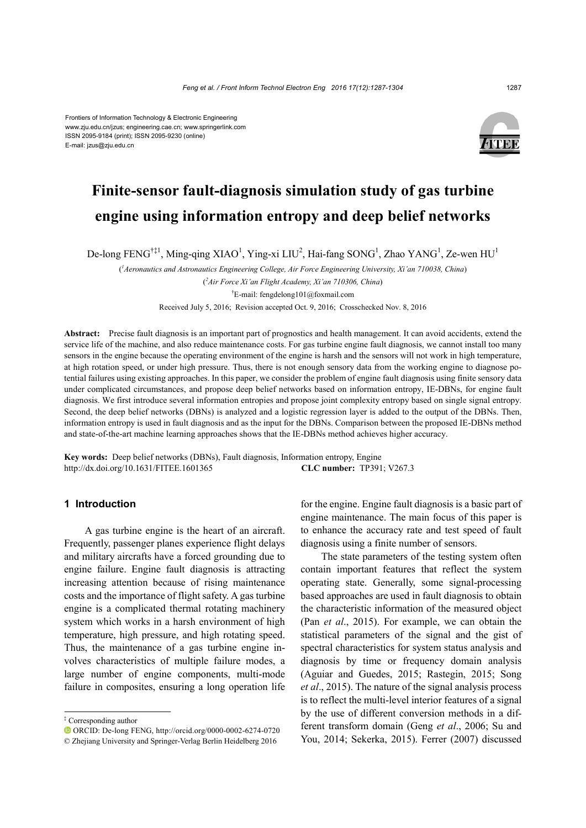Frontiers of Information Technology & Electronic Engineering www.zju.edu.cn/jzus; engineering.cae.cn; www.springerlink.com ISSN 2095-9184 (print); ISSN 2095-9230 (online) E-mail: jzus@zju.edu.cn



# **Finite-sensor fault-diagnosis simulation study of gas turbine engine using information entropy and deep belief networks**

De-long FENG<sup>†‡1</sup>, Ming-qing XIAO<sup>1</sup>, Ying-xi LIU<sup>2</sup>, Hai-fang SONG<sup>1</sup>, Zhao YANG<sup>1</sup>, Ze-wen HU<sup>1</sup>

( *1 Aeronautics and Astronautics Engineering College, Air Force Engineering University, Xi'an 710038, China*)

( *2 Air Force Xi'an Flight Academy, Xi'an 710306, China*) † E-mail: fengdelong101@foxmail.com

Received July 5, 2016; Revision accepted Oct. 9, 2016; Crosschecked Nov. 8, 2016

**Abstract:** Precise fault diagnosis is an important part of prognostics and health management. It can avoid accidents, extend the service life of the machine, and also reduce maintenance costs. For gas turbine engine fault diagnosis, we cannot install too many sensors in the engine because the operating environment of the engine is harsh and the sensors will not work in high temperature, at high rotation speed, or under high pressure. Thus, there is not enough sensory data from the working engine to diagnose potential failures using existing approaches. In this paper, we consider the problem of engine fault diagnosis using finite sensory data under complicated circumstances, and propose deep belief networks based on information entropy, IE-DBNs, for engine fault diagnosis. We first introduce several information entropies and propose joint complexity entropy based on single signal entropy. Second, the deep belief networks (DBNs) is analyzed and a logistic regression layer is added to the output of the DBNs. Then, information entropy is used in fault diagnosis and as the input for the DBNs. Comparison between the proposed IE-DBNs method and state-of-the-art machine learning approaches shows that the IE-DBNs method achieves higher accuracy.

**Key words:** Deep belief networks (DBNs), Fault diagnosis, Information entropy, Engine http://dx.doi.org/10.1631/FITEE.1601365 **CLC number:** TP391; V267.3

## **1 Introduction**

A gas turbine engine is the heart of an aircraft. Frequently, passenger planes experience flight delays and military aircrafts have a forced grounding due to engine failure. Engine fault diagnosis is attracting increasing attention because of rising maintenance costs and the importance of flight safety. A gas turbine engine is a complicated thermal rotating machinery system which works in a harsh environment of high temperature, high pressure, and high rotating speed. Thus, the maintenance of a gas turbine engine involves characteristics of multiple failure modes, a large number of engine components, multi-mode failure in composites, ensuring a long operation life

for the engine. Engine fault diagnosis is a basic part of engine maintenance. The main focus of this paper is to enhance the accuracy rate and test speed of fault diagnosis using a finite number of sensors.

The state parameters of the testing system often contain important features that reflect the system operating state. Generally, some signal-processing based approaches are used in fault diagnosis to obtain the characteristic information of the measured object (Pan *et al*., 2015). For example, we can obtain the statistical parameters of the signal and the gist of spectral characteristics for system status analysis and diagnosis by time or frequency domain analysis (Aguiar and Guedes, 2015; Rastegin, 2015; Song *et al*., 2015). The nature of the signal analysis process is to reflect the multi-level interior features of a signal by the use of different conversion methods in a different transform domain (Geng *et al*., 2006; Su and You, 2014; Sekerka, 2015). Ferrer (2007) discussed

<sup>‡</sup> Corresponding author

ORCID: De-long FENG, http://orcid.org/0000-0002-6274-0720

<sup>©</sup> Zhejiang University and Springer-Verlag Berlin Heidelberg 2016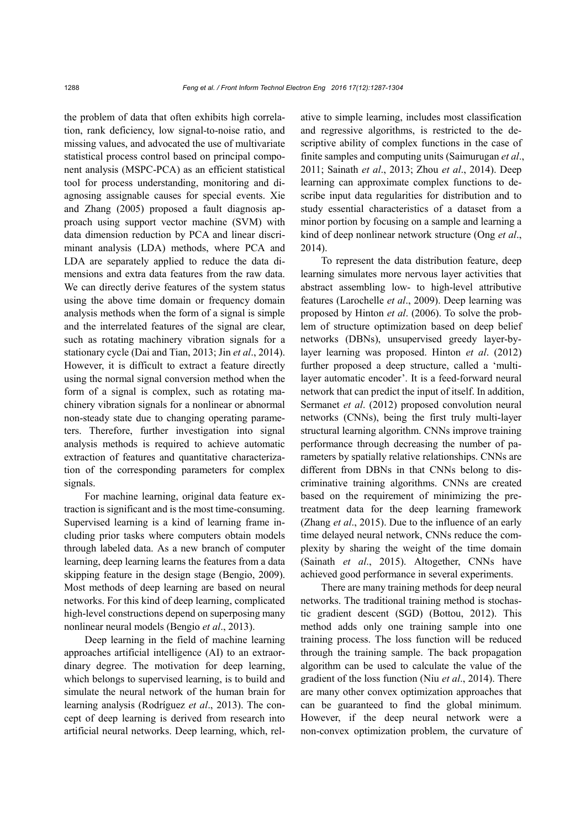the problem of data that often exhibits high correlation, rank deficiency, low signal-to-noise ratio, and missing values, and advocated the use of multivariate statistical process control based on principal component analysis (MSPC-PCA) as an efficient statistical tool for process understanding, monitoring and diagnosing assignable causes for special events. Xie and Zhang (2005) proposed a fault diagnosis approach using support vector machine (SVM) with data dimension reduction by PCA and linear discriminant analysis (LDA) methods, where PCA and LDA are separately applied to reduce the data dimensions and extra data features from the raw data. We can directly derive features of the system status using the above time domain or frequency domain analysis methods when the form of a signal is simple and the interrelated features of the signal are clear, such as rotating machinery vibration signals for a stationary cycle (Dai and Tian, 2013; Jin *et al*., 2014). However, it is difficult to extract a feature directly using the normal signal conversion method when the form of a signal is complex, such as rotating machinery vibration signals for a nonlinear or abnormal non-steady state due to changing operating parameters. Therefore, further investigation into signal analysis methods is required to achieve automatic extraction of features and quantitative characterization of the corresponding parameters for complex signals.

For machine learning, original data feature extraction is significant and is the most time-consuming. Supervised learning is a kind of learning frame including prior tasks where computers obtain models through labeled data. As a new branch of computer learning, deep learning learns the features from a data skipping feature in the design stage (Bengio, 2009). Most methods of deep learning are based on neural networks. For this kind of deep learning, complicated high-level constructions depend on superposing many nonlinear neural models (Bengio *et al*., 2013).

Deep learning in the field of machine learning approaches artificial intelligence (AI) to an extraordinary degree. The motivation for deep learning, which belongs to supervised learning, is to build and simulate the neural network of the human brain for learning analysis (Rodríguez *et al*., 2013). The concept of deep learning is derived from research into artificial neural networks. Deep learning, which, relative to simple learning, includes most classification and regressive algorithms, is restricted to the descriptive ability of complex functions in the case of finite samples and computing units (Saimurugan *et al*., 2011; Sainath *et al*., 2013; Zhou *et al*., 2014). Deep learning can approximate complex functions to describe input data regularities for distribution and to study essential characteristics of a dataset from a minor portion by focusing on a sample and learning a kind of deep nonlinear network structure (Ong *et al*., 2014).

To represent the data distribution feature, deep learning simulates more nervous layer activities that abstract assembling low- to high-level attributive features (Larochelle *et al*., 2009). Deep learning was proposed by Hinton *et al*. (2006). To solve the problem of structure optimization based on deep belief networks (DBNs), unsupervised greedy layer-bylayer learning was proposed. Hinton *et al*. (2012) further proposed a deep structure, called a 'multilayer automatic encoder'. It is a feed-forward neural network that can predict the input of itself. In addition, Sermanet *et al*. (2012) proposed convolution neural networks (CNNs), being the first truly multi-layer structural learning algorithm. CNNs improve training performance through decreasing the number of parameters by spatially relative relationships. CNNs are different from DBNs in that CNNs belong to discriminative training algorithms. CNNs are created based on the requirement of minimizing the pretreatment data for the deep learning framework (Zhang *et al*., 2015). Due to the influence of an early time delayed neural network, CNNs reduce the complexity by sharing the weight of the time domain (Sainath *et al*., 2015). Altogether, CNNs have achieved good performance in several experiments.

There are many training methods for deep neural networks. The traditional training method is stochastic gradient descent (SGD) (Bottou, 2012). This method adds only one training sample into one training process. The loss function will be reduced through the training sample. The back propagation algorithm can be used to calculate the value of the gradient of the loss function (Niu *et al*., 2014). There are many other convex optimization approaches that can be guaranteed to find the global minimum. However, if the deep neural network were a non-convex optimization problem, the curvature of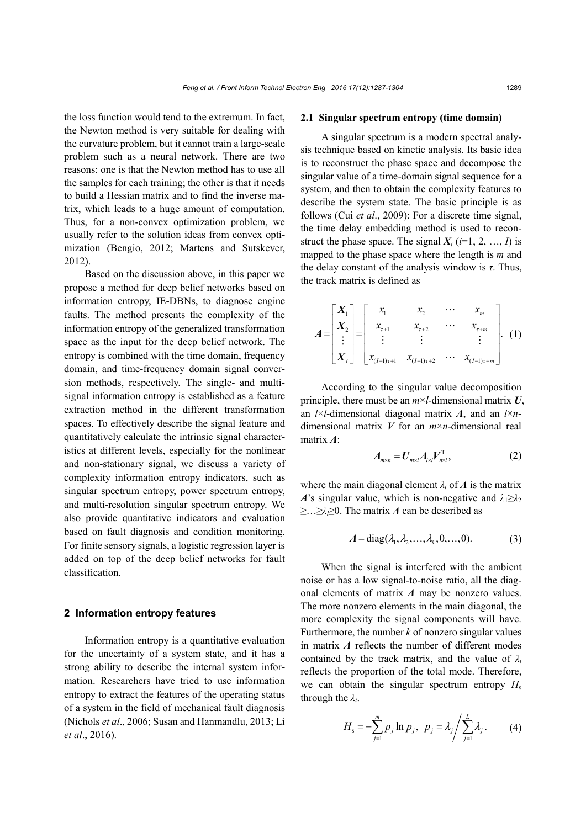the loss function would tend to the extremum. In fact, the Newton method is very suitable for dealing with the curvature problem, but it cannot train a large-scale problem such as a neural network. There are two reasons: one is that the Newton method has to use all the samples for each training; the other is that it needs to build a Hessian matrix and to find the inverse matrix, which leads to a huge amount of computation. Thus, for a non-convex optimization problem, we usually refer to the solution ideas from convex optimization (Bengio, 2012; Martens and Sutskever, 2012).

Based on the discussion above, in this paper we propose a method for deep belief networks based on information entropy, IE-DBNs, to diagnose engine faults. The method presents the complexity of the information entropy of the generalized transformation space as the input for the deep belief network. The entropy is combined with the time domain, frequency domain, and time-frequency domain signal conversion methods, respectively. The single- and multisignal information entropy is established as a feature extraction method in the different transformation spaces. To effectively describe the signal feature and quantitatively calculate the intrinsic signal characteristics at different levels, especially for the nonlinear and non-stationary signal, we discuss a variety of complexity information entropy indicators, such as singular spectrum entropy, power spectrum entropy, and multi-resolution singular spectrum entropy. We also provide quantitative indicators and evaluation based on fault diagnosis and condition monitoring. For finite sensory signals, a logistic regression layer is added on top of the deep belief networks for fault classification.

## **2 Information entropy features**

Information entropy is a quantitative evaluation for the uncertainty of a system state, and it has a strong ability to describe the internal system information. Researchers have tried to use information entropy to extract the features of the operating status of a system in the field of mechanical fault diagnosis (Nichols *et al*., 2006; Susan and Hanmandlu, 2013; Li *et al*., 2016).

#### **2.1 Singular spectrum entropy (time domain)**

A singular spectrum is a modern spectral analysis technique based on kinetic analysis. Its basic idea is to reconstruct the phase space and decompose the singular value of a time-domain signal sequence for a system, and then to obtain the complexity features to describe the system state. The basic principle is as follows (Cui *et al*., 2009): For a discrete time signal, the time delay embedding method is used to reconstruct the phase space. The signal  $X_i$  ( $i=1, 2, ..., I$ ) is mapped to the phase space where the length is *m* and the delay constant of the analysis window is *τ*. Thus, the track matrix is defined as

$$
A = \begin{bmatrix} X_1 \\ X_2 \\ \vdots \\ X_l \end{bmatrix} = \begin{bmatrix} x_1 & x_2 & \cdots & x_m \\ x_{r+1} & x_{r+2} & \cdots & x_{r+m} \\ \vdots & \vdots & & \vdots \\ x_{(I-1)\tau+1} & x_{(I-1)\tau+2} & \cdots & x_{(I-1)\tau+m} \end{bmatrix} . (1)
$$

According to the singular value decomposition principle, there must be an *m*×*l*-dimensional matrix *U*, an *l*×*l*-dimensional diagonal matrix *Λ*, and an *l*×*n*dimensional matrix *V* for an *m*×*n*-dimensional real matrix *A*:

$$
A_{\max} = U_{\max} A_{l \times l} V_{n \times l}^{T}, \qquad (2)
$$

where the main diagonal element  $\lambda_i$  of  $\Lambda$  is the matrix *A*'s singular value, which is non-negative and  $\lambda_1 \geq \lambda_2$ ≥…≥*λl*≥0. The matrix *Λ* can be described as

$$
\Lambda = \text{diag}(\lambda_1, \lambda_2, \dots, \lambda_k, 0, \dots, 0). \tag{3}
$$

When the signal is interfered with the ambient noise or has a low signal-to-noise ratio, all the diagonal elements of matrix *Λ* may be nonzero values. The more nonzero elements in the main diagonal, the more complexity the signal components will have. Furthermore, the number *k* of nonzero singular values in matrix *Λ* reflects the number of different modes contained by the track matrix, and the value of  $\lambda_i$ reflects the proportion of the total mode. Therefore, we can obtain the singular spectrum entropy  $H_s$ through the  $\lambda_i$ .

$$
H_{s} = -\sum_{j=1}^{m} p_{j} \ln p_{j}, \ \ p_{j} = \lambda_{j} / \sum_{j=1}^{L} \lambda_{j}.
$$
 (4)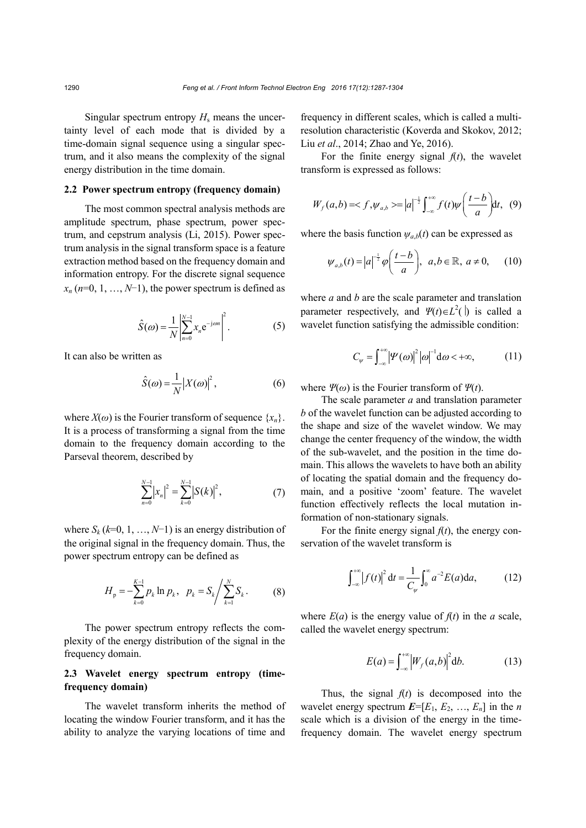Singular spectrum entropy  $H_s$  means the uncertainty level of each mode that is divided by a time-domain signal sequence using a singular spectrum, and it also means the complexity of the signal energy distribution in the time domain.

## **2.2 Power spectrum entropy (frequency domain)**

The most common spectral analysis methods are amplitude spectrum, phase spectrum, power spectrum, and cepstrum analysis (Li, 2015). Power spectrum analysis in the signal transform space is a feature extraction method based on the frequency domain and information entropy. For the discrete signal sequence *x<sub>n</sub>* (*n*=0, 1, …, *N*−1), the power spectrum is defined as

$$
\hat{S}(\omega) = \frac{1}{N} \left| \sum_{n=0}^{N-1} x_n e^{-j\omega n} \right|^2.
$$
 (5)

It can also be written as

$$
\hat{S}(\omega) = \frac{1}{N} |X(\omega)|^2, \qquad (6)
$$

where  $X(\omega)$  is the Fourier transform of sequence  $\{x_n\}$ . It is a process of transforming a signal from the time domain to the frequency domain according to the Parseval theorem, described by

$$
\sum_{n=0}^{N-1} |x_n|^2 = \sum_{k=0}^{N-1} |S(k)|^2, \qquad (7)
$$

where  $S_k$  ( $k=0, 1, ..., N-1$ ) is an energy distribution of the original signal in the frequency domain. Thus, the power spectrum entropy can be defined as

$$
H_{\rm p} = -\sum_{k=0}^{K-1} p_k \ln p_k, \ \ p_k = S_k / \sum_{k=1}^{N} S_k. \tag{8}
$$

The power spectrum entropy reflects the complexity of the energy distribution of the signal in the frequency domain.

# **2.3 Wavelet energy spectrum entropy (timefrequency domain)**

The wavelet transform inherits the method of locating the window Fourier transform, and it has the ability to analyze the varying locations of time and frequency in different scales, which is called a multiresolution characteristic (Koverda and Skokov, 2012; Liu *et al*., 2014; Zhao and Ye, 2016).

For the finite energy signal  $f(t)$ , the wavelet transform is expressed as follows:

$$
W_f(a,b) = \langle f, \psi_{a,b} \rangle = |a|^{-\frac{1}{2}} \int_{-\infty}^{+\infty} f(t) \psi\left(\frac{t-b}{a}\right) dt, \tag{9}
$$

where the basis function  $\psi_{a,b}(t)$  can be expressed as

$$
\psi_{a,b}(t) = |a|^{-\frac{1}{2}} \varphi\left(\frac{t-b}{a}\right), \ \ a,b \in \mathbb{R}, \ a \neq 0,
$$
 (10)

where *a* and *b* are the scale parameter and translation parameter respectively, and  $\Psi(t) \in L^2(\mathfrak{h})$  is called a wavelet function satisfying the admissible condition:

$$
C_{\psi} = \int_{-\infty}^{+\infty} \left| \Psi(\omega) \right|^2 \left| \omega \right|^{-1} \mathrm{d}\omega < +\infty, \tag{11}
$$

where *Ψ*(*ω*) is the Fourier transform of *Ψ*(*t*).

The scale parameter *a* and translation parameter *b* of the wavelet function can be adjusted according to the shape and size of the wavelet window. We may change the center frequency of the window, the width of the sub-wavelet, and the position in the time domain. This allows the wavelets to have both an ability of locating the spatial domain and the frequency domain, and a positive 'zoom' feature. The wavelet function effectively reflects the local mutation information of non-stationary signals.

For the finite energy signal  $f(t)$ , the energy conservation of the wavelet transform is

$$
\int_{-\infty}^{+\infty} |f(t)|^2 dt = \frac{1}{C_{\psi}} \int_0^{\infty} a^{-2} E(a) da,
$$
 (12)

where  $E(a)$  is the energy value of  $f(t)$  in the *a* scale, called the wavelet energy spectrum:

$$
E(a) = \int_{-\infty}^{+\infty} \left| W_f(a, b) \right|^2 \mathrm{d}b. \tag{13}
$$

Thus, the signal  $f(t)$  is decomposed into the wavelet energy spectrum  $E=[E_1, E_2, ..., E_n]$  in the *n* scale which is a division of the energy in the timefrequency domain. The wavelet energy spectrum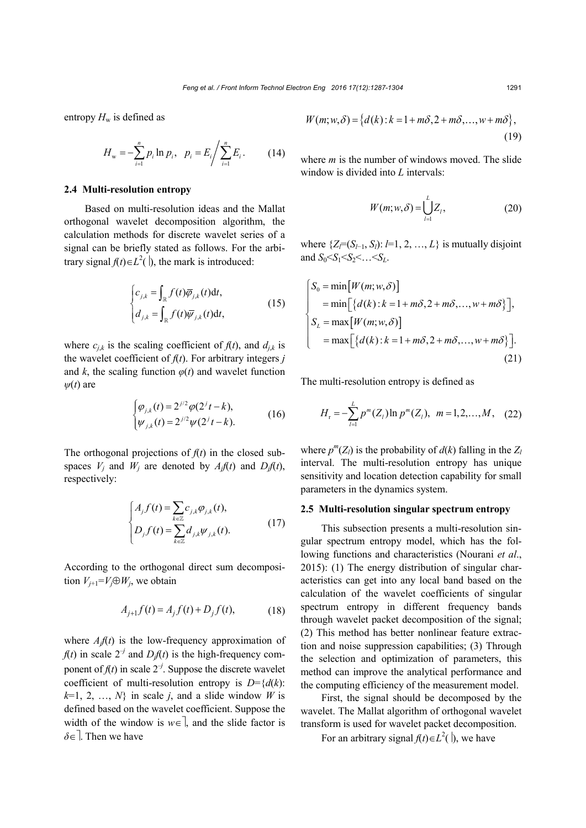entropy  $H_w$  is defined as

$$
H_{\rm w} = -\sum_{i=1}^{n} p_i \ln p_i, \quad p_i = E_i / \sum_{i=1}^{n} E_i.
$$
 (14)

## **2.4 Multi-resolution entropy**

Based on multi-resolution ideas and the Mallat orthogonal wavelet decomposition algorithm, the calculation methods for discrete wavelet series of a signal can be briefly stated as follows. For the arbitrary signal  $f(t) \in L^2($  |), the mark is introduced:

$$
\begin{cases} c_{j,k} = \int_{\mathbb{R}} f(t)\overline{\varphi}_{j,k}(t)dt, \\ d_{j,k} = \int_{\mathbb{R}} f(t)\overline{\psi}_{j,k}(t)dt, \end{cases}
$$
 (15)

where  $c_{i,k}$  is the scaling coefficient of  $f(t)$ , and  $d_{i,k}$  is the wavelet coefficient of  $f(t)$ . For arbitrary integers *j* and *k*, the scaling function  $\varphi(t)$  and wavelet function  $\psi(t)$  are

$$
\begin{cases} \varphi_{j,k}(t) = 2^{j/2} \varphi(2^{j} t - k), \\ \psi_{j,k}(t) = 2^{j/2} \psi(2^{j} t - k). \end{cases}
$$
 (16)

The orthogonal projections of  $f(t)$  in the closed subspaces  $V_i$  and  $W_i$  are denoted by  $A_i f(t)$  and  $D_i f(t)$ , respectively:

$$
\begin{cases}\nA_j f(t) = \sum_{k \in \mathbb{Z}} c_{j,k} \varphi_{j,k}(t), \\
D_j f(t) = \sum_{k \in \mathbb{Z}} d_{j,k} \psi_{j,k}(t).\n\end{cases} (17)
$$

According to the orthogonal direct sum decomposition  $V_{i+1} = V_i \oplus W_i$ , we obtain

$$
A_{j+1}f(t) = A_j f(t) + D_j f(t),
$$
 (18)

where  $A_i f(t)$  is the low-frequency approximation of *f*(*t*) in scale  $2^{-j}$  and *Djf*(*t*) is the high-frequency component of  $f(t)$  in scale  $2^{-j}$ . Suppose the discrete wavelet coefficient of multi-resolution entropy is  $D = \{d(k)\}$ :  $k=1, 2, ..., N$  in scale *j*, and a slide window *W* is defined based on the wavelet coefficient. Suppose the width of the window is  $w \in \left[ \right]$ , and the slide factor is  $\delta \in \overline{\mathcal{C}}$ . Then we have

$$
W(m; w, \delta) = \left\{ d(k) : k = 1 + m\delta, 2 + m\delta, ..., w + m\delta \right\},\tag{19}
$$

where *m* is the number of windows moved. The slide window is divided into *L* intervals:

$$
W(m; w, \delta) = \bigcup_{l=1}^{L} Z_{l}, \qquad (20)
$$

where  $\{Z_i = (S_{i-1}, S_i): i=1, 2, ..., L\}$  is mutually disjoint and  $S_0 < S_1 < S_2 < ... < S_L$ .

$$
\begin{cases}\nS_0 = \min[W(m; w, \delta)] \\
= \min[\{d(k): k = 1 + m\delta, 2 + m\delta, ..., w + m\delta\}]\n\end{cases},
$$
\n
$$
S_L = \max[W(m; w, \delta)] \\
= \max[\{d(k): k = 1 + m\delta, 2 + m\delta, ..., w + m\delta\}].
$$
\n(21)

The multi-resolution entropy is defined as

$$
H_{\rm r} = -\sum_{l=1}^{L} p^{m}(Z_{l}) \ln p^{m}(Z_{l}), \ \ m = 1, 2, ..., M, \ \ (22)
$$

where  $p^{m}(Z_i)$  is the probability of  $d(k)$  falling in the  $Z_i$ interval. The multi-resolution entropy has unique sensitivity and location detection capability for small parameters in the dynamics system.

# **2.5 Multi-resolution singular spectrum entropy**

This subsection presents a multi-resolution singular spectrum entropy model, which has the following functions and characteristics (Nourani *et al*., 2015): (1) The energy distribution of singular characteristics can get into any local band based on the calculation of the wavelet coefficients of singular spectrum entropy in different frequency bands through wavelet packet decomposition of the signal; (2) This method has better nonlinear feature extraction and noise suppression capabilities; (3) Through the selection and optimization of parameters, this method can improve the analytical performance and the computing efficiency of the measurement model.

First, the signal should be decomposed by the wavelet. The Mallat algorithm of orthogonal wavelet transform is used for wavelet packet decomposition.

For an arbitrary signal  $f(t) \in L^2($  ), we have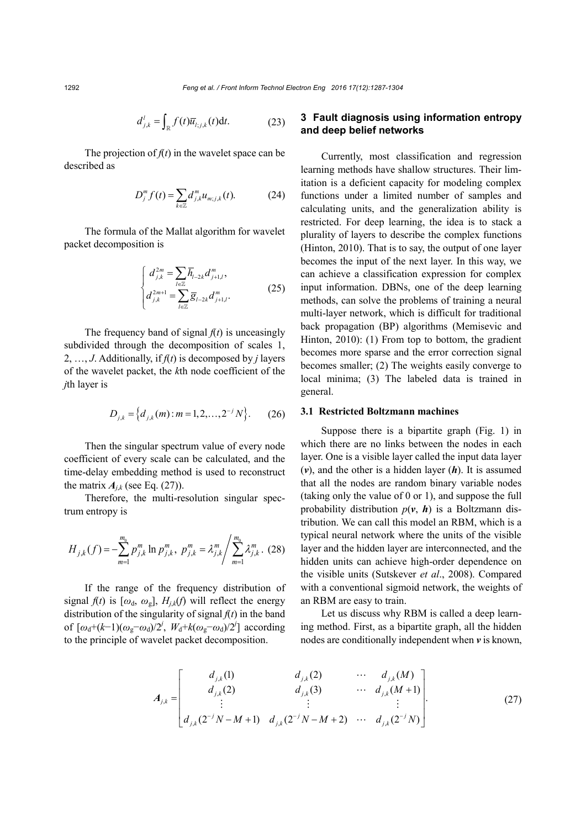$$
d_{j,k}^l = \int_{\mathbb{R}} f(t)\overline{u}_{l;j,k}(t)dt.
$$
 (23)

The projection of  $f(t)$  in the wavelet space can be described as

$$
D_j^m f(t) = \sum_{k \in \mathbb{Z}} d_{j,k}^m u_{m;j,k}(t).
$$
 (24)

The formula of the Mallat algorithm for wavelet packet decomposition is

$$
\begin{cases}\n d_{j,k}^{2m} = \sum_{l \in \mathbb{Z}} \overline{h}_{l-2k} d_{j+1,l}^m, \\
 d_{j,k}^{2m+1} = \sum_{l \in \mathbb{Z}} \overline{g}_{l-2k} d_{j+1,l}^m.\n\end{cases} (25)
$$

The frequency band of signal  $f(t)$  is unceasingly subdivided through the decomposition of scales 1, 2, …, *J*. Additionally, if *f*(*t*) is decomposed by *j* layers of the wavelet packet, the *k*th node coefficient of the *j*th layer is

$$
D_{j,k} = \left\{ d_{j,k}(m) : m = 1, 2, \dots, 2^{-j} N \right\}.
$$
 (26)

Then the singular spectrum value of every node coefficient of every scale can be calculated, and the time-delay embedding method is used to reconstruct the matrix  $A_{j,k}$  (see Eq. (27)).

Therefore, the multi-resolution singular spectrum entropy is

$$
H_{j,k}(f) = -\sum_{m=1}^{m_0} p_{j,k}^m \ln p_{j,k}^m, \ p_{j,k}^m = \lambda_{j,k}^m / \sum_{m=1}^{m_0} \lambda_{j,k}^m.
$$
 (28)

If the range of the frequency distribution of signal  $f(t)$  is  $[\omega_d, \omega_g]$ ,  $H_{i,k}(f)$  will reflect the energy distribution of the singularity of signal  $f(t)$  in the band of  $[\omega_d+(k-1)(\omega_g-\omega_d)/2^j, W_d+k(\omega_g-\omega_d)/2^j]$  according to the principle of wavelet packet decomposition.

# **3 Fault diagnosis using information entropy and deep belief networks**

Currently, most classification and regression learning methods have shallow structures. Their limitation is a deficient capacity for modeling complex functions under a limited number of samples and calculating units, and the generalization ability is restricted. For deep learning, the idea is to stack a plurality of layers to describe the complex functions (Hinton, 2010). That is to say, the output of one layer becomes the input of the next layer. In this way, we can achieve a classification expression for complex input information. DBNs, one of the deep learning methods, can solve the problems of training a neural multi-layer network, which is difficult for traditional back propagation (BP) algorithms (Memisevic and Hinton, 2010): (1) From top to bottom, the gradient becomes more sparse and the error correction signal becomes smaller; (2) The weights easily converge to local minima; (3) The labeled data is trained in general.

#### **3.1 Restricted Boltzmann machines**

Suppose there is a bipartite graph (Fig. 1) in which there are no links between the nodes in each layer. One is a visible layer called the input data layer (*v*), and the other is a hidden layer (*h*). It is assumed that all the nodes are random binary variable nodes (taking only the value of 0 or 1), and suppose the full probability distribution  $p(\mathbf{v}, h)$  is a Boltzmann distribution. We can call this model an RBM, which is a typical neural network where the units of the visible layer and the hidden layer are interconnected, and the hidden units can achieve high-order dependence on the visible units (Sutskever *et al*., 2008). Compared with a conventional sigmoid network, the weights of an RBM are easy to train.

Let us discuss why RBM is called a deep learning method. First, as a bipartite graph, all the hidden nodes are conditionally independent when *v* is known,

$$
A_{j,k} = \begin{bmatrix} d_{j,k}(1) & d_{j,k}(2) & \cdots & d_{j,k}(M) \\ d_{j,k}(2) & d_{j,k}(3) & \cdots & d_{j,k}(M+1) \\ \vdots & \vdots & & \vdots \\ d_{j,k}(2^{-j}N-M+1) & d_{j,k}(2^{-j}N-M+2) & \cdots & d_{j,k}(2^{-j}N) \end{bmatrix} .
$$
 (27)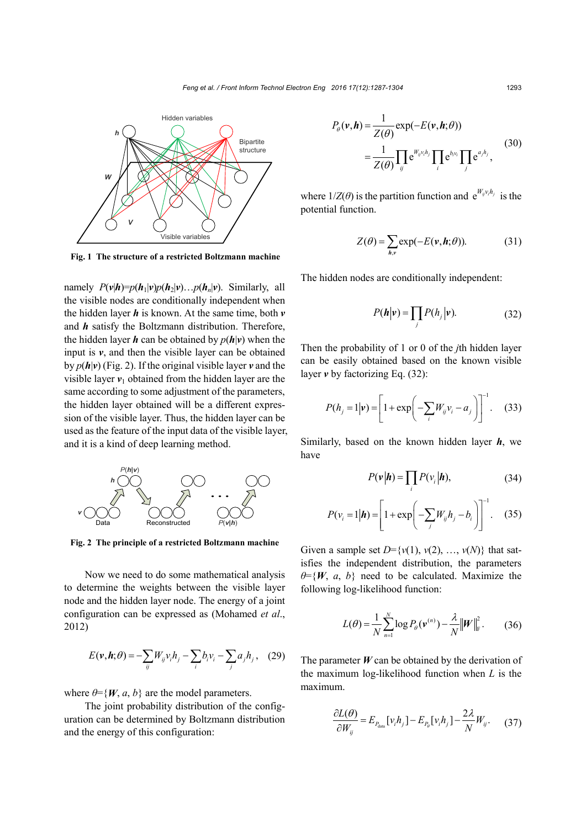

**Fig. 1 The structure of a restricted Boltzmann machine**

namely  $P(v|h) = p(h_1|v)p(h_2|v) \dots p(h_n|v)$ . Similarly, all the visible nodes are conditionally independent when the hidden layer  $h$  is known. At the same time, both  $v$ and *h* satisfy the Boltzmann distribution. Therefore, the hidden layer *h* can be obtained by  $p(h|v)$  when the input is  $\nu$ , and then the visible layer can be obtained by  $p(h|\mathbf{v})$  (Fig. 2). If the original visible layer  $\mathbf{v}$  and the visible layer  $v_1$  obtained from the hidden layer are the same according to some adjustment of the parameters, the hidden layer obtained will be a different expression of the visible layer. Thus, the hidden layer can be used as the feature of the input data of the visible layer, and it is a kind of deep learning method.



**Fig. 2 The principle of a restricted Boltzmann machine**

Now we need to do some mathematical analysis to determine the weights between the visible layer node and the hidden layer node. The energy of a joint configuration can be expressed as (Mohamed *et al*., 2012)

$$
E(\mathbf{v}, \mathbf{h}; \theta) = -\sum_{ij} W_{ij} v_i h_j - \sum_i b_i v_i - \sum_j a_j h_j, \quad (29)
$$

where  $\theta = \{W, a, b\}$  are the model parameters.

The joint probability distribution of the configuration can be determined by Boltzmann distribution and the energy of this configuration:

$$
P_{\theta}(\mathbf{v}, \mathbf{h}) = \frac{1}{Z(\theta)} \exp(-E(\mathbf{v}, \mathbf{h}; \theta))
$$
  
= 
$$
\frac{1}{Z(\theta)} \prod_{ij} e^{W_{ij} v_j h_j} \prod_i e^{b_i v_i} \prod_j e^{a_j h_j},
$$
(30)

where  $1/Z(\theta)$  is the partition function and  $e^{W_{ij}v_i h_j}$  is the potential function.

$$
Z(\theta) = \sum_{h,v} \exp(-E(v, h; \theta)).
$$
 (31)

The hidden nodes are conditionally independent:

$$
P(\boldsymbol{h}|\boldsymbol{v}) = \prod_{j} P(h_j|\boldsymbol{v}).
$$
 (32)

Then the probability of 1 or 0 of the *j*th hidden layer can be easily obtained based on the known visible layer *v* by factorizing Eq. (32):

$$
P(h_j = 1 | \mathbf{v}) = \left[ 1 + \exp\left( -\sum_i W_{ij} v_i - a_j \right) \right]^{-1}.
$$
 (33)

Similarly, based on the known hidden layer *h*, we have

$$
P(\mathbf{v}|\mathbf{h}) = \prod_{i} P(\mathbf{v}_i|\mathbf{h}),
$$
 (34)

$$
P(v_i = 1 | \boldsymbol{h}) = \left[ 1 + \exp\left( -\sum_j W_{ij} h_j - b_i \right) \right]^{-1}.
$$
 (35)

Given a sample set  $D = \{v(1), v(2), \ldots, v(N)\}\)$  that satisfies the independent distribution, the parameters  $\theta = \{W, a, b\}$  need to be calculated. Maximize the following log-likelihood function:

$$
L(\theta) = \frac{1}{N} \sum_{n=1}^{N} \log P_{\theta}(\mathbf{v}^{(n)}) - \frac{\lambda}{N} ||\mathbf{W}||_{\mathrm{F}}^{2}.
$$
 (36)

The parameter  $W$  can be obtained by the derivation of the maximum log-likelihood function when *L* is the maximum.

$$
\frac{\partial L(\theta)}{\partial W_{ij}} = E_{P_{\text{data}}}[v_i h_j] - E_{P_{\theta}}[v_i h_j] - \frac{2\lambda}{N} W_{ij}.
$$
 (37)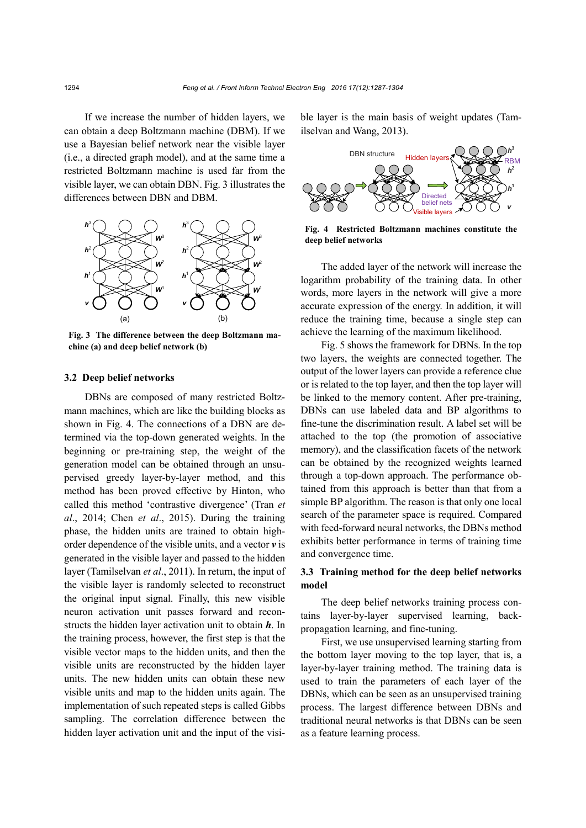If we increase the number of hidden layers, we can obtain a deep Boltzmann machine (DBM). If we use a Bayesian belief network near the visible layer (i.e., a directed graph model), and at the same time a restricted Boltzmann machine is used far from the visible layer, we can obtain DBN. Fig. 3 illustrates the differences between DBN and DBM.



**Fig. 3 The difference between the deep Boltzmann machine (a) and deep belief network (b)**

#### **3.2 Deep belief networks**

DBNs are composed of many restricted Boltzmann machines, which are like the building blocks as shown in Fig. 4. The connections of a DBN are determined via the top-down generated weights. In the beginning or pre-training step, the weight of the generation model can be obtained through an unsupervised greedy layer-by-layer method, and this method has been proved effective by Hinton, who called this method 'contrastive divergence' (Tran *et al*., 2014; Chen *et al*., 2015). During the training phase, the hidden units are trained to obtain highorder dependence of the visible units, and a vector *v* is generated in the visible layer and passed to the hidden layer (Tamilselvan *et al*., 2011). In return, the input of the visible layer is randomly selected to reconstruct the original input signal. Finally, this new visible neuron activation unit passes forward and reconstructs the hidden layer activation unit to obtain *h*. In the training process, however, the first step is that the visible vector maps to the hidden units, and then the visible units are reconstructed by the hidden layer units. The new hidden units can obtain these new visible units and map to the hidden units again. The implementation of such repeated steps is called Gibbs sampling. The correlation difference between the hidden layer activation unit and the input of the visible layer is the main basis of weight updates (Tamilselvan and Wang, 2013).



**Fig. 4 Restricted Boltzmann machines constitute the deep belief networks**

The added layer of the network will increase the logarithm probability of the training data. In other words, more layers in the network will give a more accurate expression of the energy. In addition, it will reduce the training time, because a single step can achieve the learning of the maximum likelihood.

Fig. 5 shows the framework for DBNs. In the top two layers, the weights are connected together. The output of the lower layers can provide a reference clue or is related to the top layer, and then the top layer will be linked to the memory content. After pre-training, DBNs can use labeled data and BP algorithms to fine-tune the discrimination result. A label set will be attached to the top (the promotion of associative memory), and the classification facets of the network can be obtained by the recognized weights learned through a top-down approach. The performance obtained from this approach is better than that from a simple BP algorithm. The reason is that only one local search of the parameter space is required. Compared with feed-forward neural networks, the DBNs method exhibits better performance in terms of training time and convergence time.

# **3.3 Training method for the deep belief networks model**

The deep belief networks training process contains layer-by-layer supervised learning, backpropagation learning, and fine-tuning.

First, we use unsupervised learning starting from the bottom layer moving to the top layer, that is, a layer-by-layer training method. The training data is used to train the parameters of each layer of the DBNs, which can be seen as an unsupervised training process. The largest difference between DBNs and traditional neural networks is that DBNs can be seen as a feature learning process.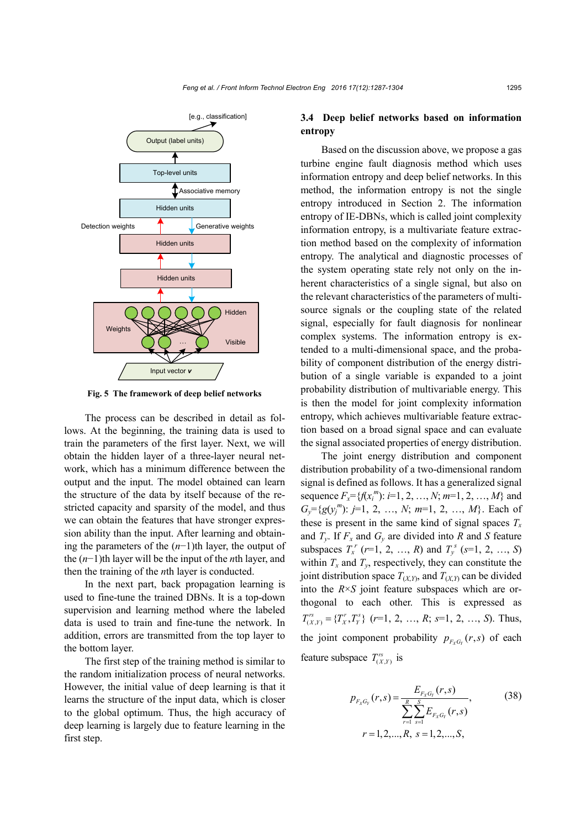

**Fig. 5 The framework of deep belief networks**

The process can be described in detail as follows. At the beginning, the training data is used to train the parameters of the first layer. Next, we will obtain the hidden layer of a three-layer neural network, which has a minimum difference between the output and the input. The model obtained can learn the structure of the data by itself because of the restricted capacity and sparsity of the model, and thus we can obtain the features that have stronger expression ability than the input. After learning and obtaining the parameters of the (*n*−1)th layer, the output of the (*n*−1)th layer will be the input of the *n*th layer, and then the training of the *n*th layer is conducted.

In the next part, back propagation learning is used to fine-tune the trained DBNs. It is a top-down supervision and learning method where the labeled data is used to train and fine-tune the network. In addition, errors are transmitted from the top layer to the bottom layer.

The first step of the training method is similar to the random initialization process of neural networks. However, the initial value of deep learning is that it learns the structure of the input data, which is closer to the global optimum. Thus, the high accuracy of deep learning is largely due to feature learning in the first step.

# **3.4 Deep belief networks based on information entropy**

Based on the discussion above, we propose a gas turbine engine fault diagnosis method which uses information entropy and deep belief networks. In this method, the information entropy is not the single entropy introduced in Section 2. The information entropy of IE-DBNs, which is called joint complexity information entropy, is a multivariate feature extraction method based on the complexity of information entropy. The analytical and diagnostic processes of the system operating state rely not only on the inherent characteristics of a single signal, but also on the relevant characteristics of the parameters of multisource signals or the coupling state of the related signal, especially for fault diagnosis for nonlinear complex systems. The information entropy is extended to a multi-dimensional space, and the probability of component distribution of the energy distribution of a single variable is expanded to a joint probability distribution of multivariable energy. This is then the model for joint complexity information entropy, which achieves multivariable feature extraction based on a broad signal space and can evaluate the signal associated properties of energy distribution.

The joint energy distribution and component distribution probability of a two-dimensional random signal is defined as follows. It has a generalized signal sequence  $F_x = \{f(x_i^m): i=1, 2, ..., N; m=1, 2, ..., M\}$  and *Gy*={*g*(*yj <sup>m</sup>*): *j*=1, 2, …, *N*; *m*=1, 2, …, *M*}. Each of these is present in the same kind of signal spaces  $T_x$ and  $T_y$ . If  $F_x$  and  $G_y$  are divided into R and S feature subspaces  $T_x^r$  ( $r=1, 2, ..., R$ ) and  $T_y^s$  ( $s=1, 2, ..., S$ ) within  $T_x$  and  $T_y$ , respectively, they can constitute the joint distribution space  $T_{(X,Y)}$ , and  $T_{(X,Y)}$  can be divided into the  $R \times S$  joint feature subspaces which are orthogonal to each other. This is expressed as  $T_{(X,Y)}^{rs} = \{ T_X^r, T_Y^s \}$  (r=1, 2, …, R; s=1, 2, …, S). Thus, the joint component probability  $p_{F_x G_y}(r,s)$  of each feature subspace  $T_{(X,Y)}^{rs}$  is

$$
p_{F_XG_Y}(r,s) = \frac{E_{F_XG_Y}(r,s)}{\sum_{r=1}^R \sum_{s=1}^S E_{F_XG_Y}(r,s)},
$$
(38)  

$$
r = 1, 2, ..., R, s = 1, 2, ..., S,
$$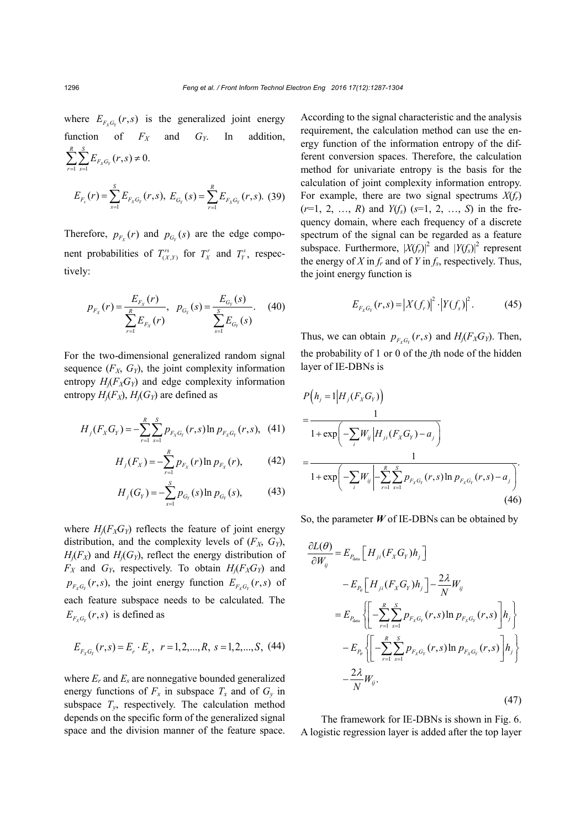where  $E_{F_v G_v}(r,s)$  is the generalized joint energy function of  $F_X$  and  $G_Y$ . In addition,  $\sum_{r=1}^{R} \sum_{s=1}^{S} E_{F_X G_Y}(r,s) \neq 0.$  $\sum_{r=1}$   $\sum_{s=1}$   $\sum_{r=1}$   $F_X G$  $E_{F_{\nu}G_{\nu}}(r,s)$  $\sum_{r=1} \sum_{s=1} E_{F_X G_Y}(r,s) \neq$ 1  $E_{r_x} (r) = \sum E_{F_x G_y} (r, s),$ *S*  $F_x$ <sup>(*i*</sup>)  $=$   $\sum_{s=1}$   $F_{x}G$  $E_{F}(r) = \sum E_{F,G_{w}}(r,s)$  $=\sum_{s=1}^{S} E_{F_X G_Y}(r,s), E_{G_Y}(s) = \sum_{r=1}^{R} E_{F_X G_Y}(r,s).$  $G_Y$ <sup>(3)</sup> –  $\sum_{r=1}$   $E_{F_X}G$  $E_{G_v}(s) = \sum E_{F_v G_v}(r, s)$  $=\sum_{r=1} E_{F_X G_Y}(r,s)$ . (39)

Therefore,  $p_{F_Y}(r)$  and  $p_{G_Y}(s)$  are the edge component probabilities of  $T_{(X,Y)}^{rs}$  for  $T_X^r$  and  $T_Y^s$ , respectively:

$$
p_{F_X}(r) = \frac{E_{F_X}(r)}{\sum_{r=1}^{R} E_{F_X}(r)}, \ \ p_{G_Y}(s) = \frac{E_{G_Y}(s)}{\sum_{s=1}^{S} E_{G_Y}(s)}.
$$
 (40)

For the two-dimensional generalized random signal sequence  $(F_X, G_Y)$ , the joint complexity information entropy  $H_i(F_XG_Y)$  and edge complexity information entropy  $H_i(F_X)$ ,  $H_i(G_Y)$  are defined as

$$
H_j(F_XG_Y) = -\sum_{r=1}^R \sum_{s=1}^S p_{F_XG_Y}(r,s) \ln p_{F_XG_Y}(r,s), \quad (41)
$$

$$
H_j(F_X) = -\sum_{r=1}^R p_{F_X}(r) \ln p_{F_X}(r), \tag{42}
$$

$$
H_j(G_Y) = -\sum_{s=1}^S p_{G_Y}(s) \ln p_{G_Y}(s), \tag{43}
$$

where  $H_i(F_XG_Y)$  reflects the feature of joint energy distribution, and the complexity levels of  $(F_X, G_Y)$ ,  $H_i(F_X)$  and  $H_i(G_Y)$ , reflect the energy distribution of  $F_X$  and  $G_Y$ , respectively. To obtain  $H_j(F_XG_Y)$  and  $p_{F_xG_y}(r, s)$ , the joint energy function  $E_{F_xG_y}(r, s)$  of each feature subspace needs to be calculated. The  $E_{F_r G_r}(r,s)$  is defined as

$$
E_{F_XG_Y}(r,s) = E_r \cdot E_s, \ \ r = 1, 2, \dots, R, \ s = 1, 2, \dots, S, \ (44)
$$

where  $E_r$  and  $E_s$  are nonnegative bounded generalized energy functions of  $F_x$  in subspace  $T_x$  and of  $G_y$  in subspace  $T_v$ , respectively. The calculation method depends on the specific form of the generalized signal space and the division manner of the feature space.

According to the signal characteristic and the analysis requirement, the calculation method can use the energy function of the information entropy of the different conversion spaces. Therefore, the calculation method for univariate entropy is the basis for the calculation of joint complexity information entropy. For example, there are two signal spectrums  $X(f_r)$  $(r=1, 2, ..., R)$  and  $Y(f_s)$  ( $s=1, 2, ..., S$ ) in the frequency domain, where each frequency of a discrete spectrum of the signal can be regarded as a feature subspace. Furthermore,  $|X(f_r)|^2$  and  $|Y(f_s)|^2$  represent the energy of *X* in  $f_r$  and of *Y* in  $f_s$ , respectively. Thus, the joint energy function is

$$
E_{F_X G_Y}(r,s) = |X(f_r)|^2 \cdot |Y(f_s)|^2.
$$
 (45)

Thus, we can obtain  $p_{F_xG_y}(r,s)$  and  $H_j(F_XG_Y)$ . Then, the probability of 1 or 0 of the *j*th node of the hidden layer of IE-DBNs is

$$
P(h_j = 1 | H_j(F_X G_Y))
$$
  
= 
$$
\frac{1}{1 + \exp\left(-\sum_i W_{ij} | H_{ji}(F_X G_Y) - a_j\right)}
$$
  
= 
$$
\frac{1}{1 + \exp\left(-\sum_i W_{ij} | -\sum_{r=1}^R \sum_{s=1}^S p_{F_X G_Y}(r, s) \ln p_{F_X G_Y}(r, s) - a_j\right)}
$$
. (46)

So, the parameter  $W$  of IE-DBNs can be obtained by

$$
\frac{\partial L(\theta)}{\partial W_{ij}} = E_{P_{data}} \left[ H_{ji} (F_X G_Y) h_j \right]
$$
  
\n
$$
- E_{P_0} \left[ H_{ji} (F_X G_Y) h_j \right] - \frac{2\lambda}{N} W_{ij}
$$
  
\n
$$
= E_{P_{data}} \left\{ \left[ -\sum_{r=1}^R \sum_{s=1}^S p_{F_X G_Y}(r, s) \ln p_{F_X G_Y}(r, s) \right] h_j \right\}
$$
  
\n
$$
- E_{P_0} \left\{ \left[ -\sum_{r=1}^R \sum_{s=1}^S p_{F_X G_Y}(r, s) \ln p_{F_X G_Y}(r, s) \right] h_j \right\}
$$
  
\n
$$
- \frac{2\lambda}{N} W_{ij}.
$$
  
\n(47)

The framework for IE-DBNs is shown in Fig. 6. A logistic regression layer is added after the top layer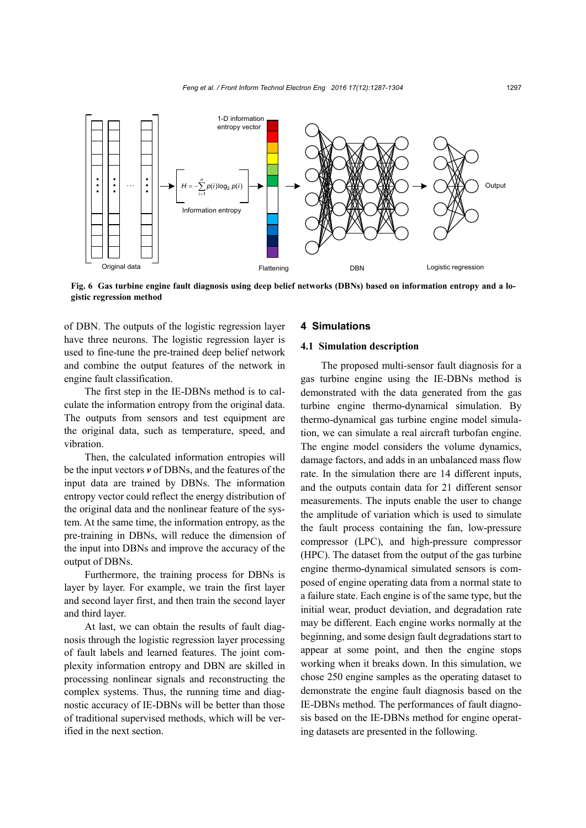

**Fig. 6 Gas turbine engine fault diagnosis using deep belief networks (DBNs) based on information entropy and a logistic regression method**

of DBN. The outputs of the logistic regression layer have three neurons. The logistic regression layer is used to fine-tune the pre-trained deep belief network and combine the output features of the network in engine fault classification.

The first step in the IE-DBNs method is to calculate the information entropy from the original data. The outputs from sensors and test equipment are the original data, such as temperature, speed, and vibration.

Then, the calculated information entropies will be the input vectors *v* of DBNs, and the features of the input data are trained by DBNs. The information entropy vector could reflect the energy distribution of the original data and the nonlinear feature of the system. At the same time, the information entropy, as the pre-training in DBNs, will reduce the dimension of the input into DBNs and improve the accuracy of the output of DBNs.

Furthermore, the training process for DBNs is layer by layer. For example, we train the first layer and second layer first, and then train the second layer and third layer.

At last, we can obtain the results of fault diagnosis through the logistic regression layer processing of fault labels and learned features. The joint complexity information entropy and DBN are skilled in processing nonlinear signals and reconstructing the complex systems. Thus, the running time and diagnostic accuracy of IE-DBNs will be better than those of traditional supervised methods, which will be verified in the next section.

#### **4 Simulations**

## **4.1 Simulation description**

The proposed multi-sensor fault diagnosis for a gas turbine engine using the IE-DBNs method is demonstrated with the data generated from the gas turbine engine thermo-dynamical simulation. By thermo-dynamical gas turbine engine model simulation, we can simulate a real aircraft turbofan engine. The engine model considers the volume dynamics, damage factors, and adds in an unbalanced mass flow rate. In the simulation there are 14 different inputs, and the outputs contain data for 21 different sensor measurements. The inputs enable the user to change the amplitude of variation which is used to simulate the fault process containing the fan, low-pressure compressor (LPC), and high-pressure compressor (HPC). The dataset from the output of the gas turbine engine thermo-dynamical simulated sensors is composed of engine operating data from a normal state to a failure state. Each engine is of the same type, but the initial wear, product deviation, and degradation rate may be different. Each engine works normally at the beginning, and some design fault degradations start to appear at some point, and then the engine stops working when it breaks down. In this simulation, we chose 250 engine samples as the operating dataset to demonstrate the engine fault diagnosis based on the IE-DBNs method. The performances of fault diagnosis based on the IE-DBNs method for engine operating datasets are presented in the following.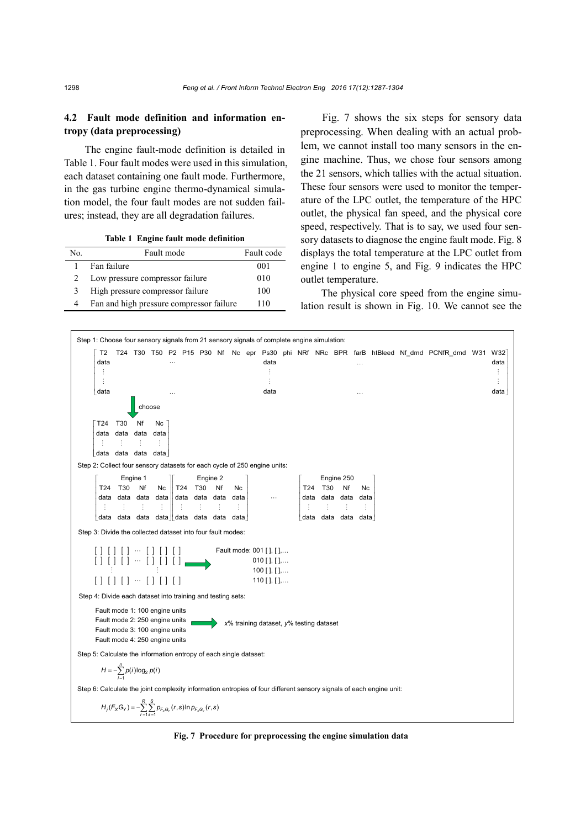# **4.2 Fault mode definition and information entropy (data preprocessing)**

The engine fault-mode definition is detailed in Table 1. Four fault modes were used in this simulation, each dataset containing one fault mode. Furthermore, in the gas turbine engine thermo-dynamical simulation model, the four fault modes are not sudden failures; instead, they are all degradation failures.

**Table 1 Engine fault mode definition**

| No. | Fault mode                               | Fault code |
|-----|------------------------------------------|------------|
|     | Fan failure                              | 001        |
|     | Low pressure compressor failure          | 010        |
| 3   | High pressure compressor failure         | 100        |
|     | Fan and high pressure compressor failure | 110        |

Fig. 7 shows the six steps for sensory data preprocessing. When dealing with an actual problem, we cannot install too many sensors in the engine machine. Thus, we chose four sensors among the 21 sensors, which tallies with the actual situation. These four sensors were used to monitor the temperature of the LPC outlet, the temperature of the HPC outlet, the physical fan speed, and the physical core speed, respectively. That is to say, we used four sensory datasets to diagnose the engine fault mode. Fig. 8 displays the total temperature at the LPC outlet from engine 1 to engine 5, and Fig. 9 indicates the HPC outlet temperature.

The physical core speed from the engine simulation result is shown in Fig. 10. We cannot see the



**Fig. 7 Procedure for preprocessing the engine simulation data**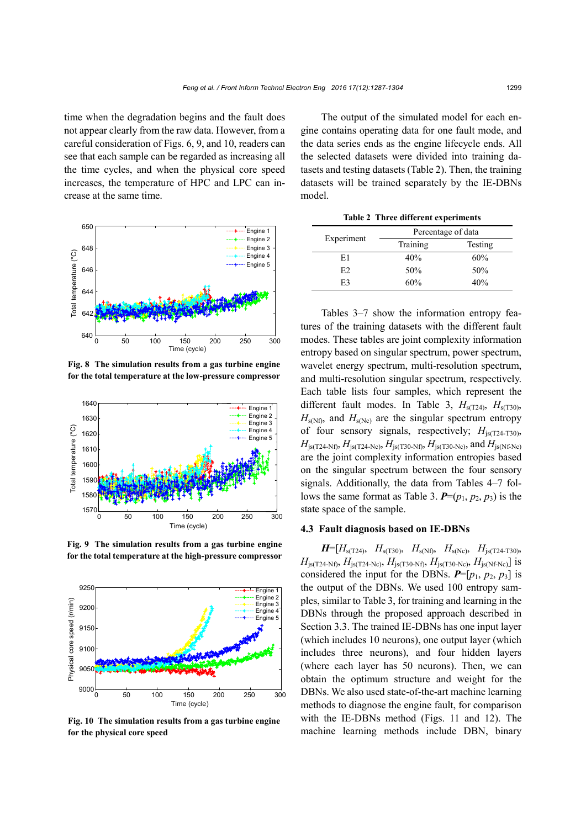time when the degradation begins and the fault does not appear clearly from the raw data. However, from a careful consideration of Figs. 6, 9, and 10, readers can see that each sample can be regarded as increasing all the time cycles, and when the physical core speed increases, the temperature of HPC and LPC can increase at the same time.



**Fig. 8 The simulation results from a gas turbine engine for the total temperature at the low-pressure compressor**



**Fig. 9 The simulation results from a gas turbine engine for the total temperature at the high-pressure compressor**



**Fig. 10 The simulation results from a gas turbine engine for the physical core speed**

The output of the simulated model for each engine contains operating data for one fault mode, and the data series ends as the engine lifecycle ends. All the selected datasets were divided into training datasets and testing datasets (Table 2). Then, the training datasets will be trained separately by the IE-DBNs model.

**Table 2 Three different experiments**

| Experiment | Percentage of data |         |  |  |  |  |
|------------|--------------------|---------|--|--|--|--|
|            | Training           | Testing |  |  |  |  |
| E1         | 40%                | 60%     |  |  |  |  |
| E2         | 50%                | 50%     |  |  |  |  |
| E3         | 60%                | 40%     |  |  |  |  |

Tables 3–7 show the information entropy features of the training datasets with the different fault modes. These tables are joint complexity information entropy based on singular spectrum, power spectrum, wavelet energy spectrum, multi-resolution spectrum, and multi-resolution singular spectrum, respectively. Each table lists four samples, which represent the different fault modes. In Table 3, *H*s(T24), *H*s(T30),  $H<sub>s(Nf)</sub>$ , and  $H<sub>s(Nc)</sub>$  are the singular spectrum entropy of four sensory signals, respectively;  $H_{1s(T24-T30)}$ ,  $H_{\text{js}(T24-Nf)}$ ,  $H_{\text{js}(T24-Nc)}$ ,  $H_{\text{js}(T30-Nf)}$ ,  $H_{\text{js}(T30-Nc)}$ , and  $H_{\text{js}(Nf-Nc)}$ are the joint complexity information entropies based on the singular spectrum between the four sensory signals. Additionally, the data from Tables 4–7 follows the same format as Table 3.  $P=(p_1, p_2, p_3)$  is the state space of the sample.

## **4.3 Fault diagnosis based on IE-DBNs**

 $H=[H_{s(T24)}, H_{s(T30)}, H_{s(Nf)}, H_{s(Nc)}, H_{s(T24-T30)},$  $H_{\text{is}(T24-Nf)}$ ,  $H_{\text{is}(T24-Nc)}$ ,  $H_{\text{is}(T30-Nf)}$ ,  $H_{\text{is}(T30-Nc)}$ ,  $H_{\text{is}(Nf-Nc)}$  is considered the input for the DBNs.  $P=[p_1, p_2, p_3]$  is the output of the DBNs. We used 100 entropy samples, similar to Table 3, for training and learning in the DBNs through the proposed approach described in Section 3.3. The trained IE-DBNs has one input layer (which includes 10 neurons), one output layer (which includes three neurons), and four hidden layers (where each layer has 50 neurons). Then, we can obtain the optimum structure and weight for the DBNs. We also used state-of-the-art machine learning methods to diagnose the engine fault, for comparison with the IE-DBNs method (Figs. 11 and 12). The machine learning methods include DBN, binary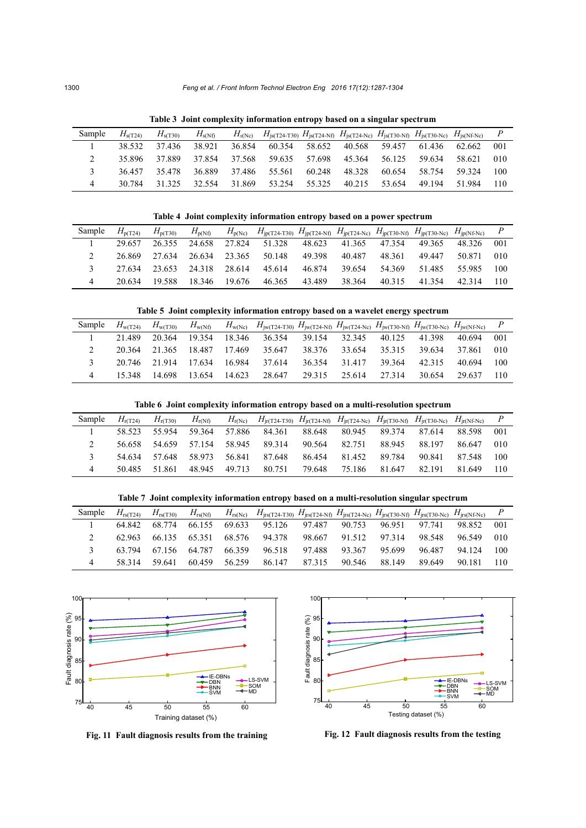| Sample | H <sub>s(T24)</sub> | H <sub>s(T30)</sub> | $H_{\rm s(Nf)}$ |        | $H_{\rm s(Nc)}$ $H_{\rm is(T24-T30)}$ $H_{\rm is(T24-Nf)}$ $H_{\rm is(T24-Nc)}$ $H_{\rm is(T30-Nf)}$ $H_{\rm is(T30-Nc)}$ $H_{\rm is(Nf-Nc)}$ |        |        |        |        |        |     |
|--------|---------------------|---------------------|-----------------|--------|-----------------------------------------------------------------------------------------------------------------------------------------------|--------|--------|--------|--------|--------|-----|
|        | 38.532              | 37436               | 38.921          | 36.854 | 60.354                                                                                                                                        | 58.652 | 40.568 | 59.457 | 61.436 | 62.662 | 001 |
|        | 35.896              | 37.889              | 37854           | 37.568 | 59.635                                                                                                                                        | 57.698 | 45.364 | 56.125 | 59.634 | 58.621 | 010 |
|        | 36 457              | 35 478              | 36.889          | 37.486 | 55.561                                                                                                                                        | 60.248 | 48.328 | 60.654 | 58 754 | 59 324 | 100 |
|        | 30.784              | 31 325              | 32.554          | 31.869 | 53 254                                                                                                                                        | 55.325 | 40.215 | 53.654 | 49 194 | 51 984 | 110 |

**Table 3 Joint complexity information entropy based on a singular spectrum**

**Table 4 Joint complexity information entropy based on a power spectrum**

| Sample | $H_{\text{D}(T24)}$ | $H_{\text{D}(T30)}$ | $H_{\text{p(Nf)}}$ |        | $H_{\text{D}(Nc)}$ $H_{\text{in}(T24-T30)}$ $H_{\text{in}(T24-Nf)}$ $H_{\text{in}(T24-Nc)}$ $H_{\text{in}(T30-Nf)}$ $H_{\text{in}(T30-Nc)}$ $H_{\text{in}(Nf-Nc)}$ |        |        |        |        |        |     |
|--------|---------------------|---------------------|--------------------|--------|--------------------------------------------------------------------------------------------------------------------------------------------------------------------|--------|--------|--------|--------|--------|-----|
|        | 29.657              | 26.355              | 24.658             | 27.824 | 51.328                                                                                                                                                             | 48.623 | 41.365 | 47.354 | 49.365 | 48 326 | 001 |
|        | 26.869              | 27.634              | 26.634             | 23.365 | 50.148                                                                                                                                                             | 49.398 | 40.487 | 48.361 | 49.447 | 50.871 | 010 |
|        | 27.634              | 23.653              | 24.318             | 28.614 | 45 614                                                                                                                                                             | 46.874 | 39.654 | 54 369 | 51.485 | 55.985 | 100 |
|        | 20.634              | 19.588              | 18.346             | 19.676 | 46.365                                                                                                                                                             | 43.489 | 38.364 | 40.315 | 41 354 | 42.314 | 110 |

**Table 5 Joint complexity information entropy based on a wavelet energy spectrum**

| Sample | $H_{\text{w(T24)}}$ | $H_{\text{w}(T30)}$ | $H_{\text{w(Nf)}}$ |         | $H_{\text{w(Ne)}}$ $H_{\text{iw(T24-T30)}}$ $H_{\text{iw(T24-Nf)}}$ $H_{\text{iw(T24-Nc)}}$ $H_{\text{iw(T30-Nf)}}$ $H_{\text{iw(T30-Nc)}}$ $H_{\text{iw(NENC)}}$ |        |        |        |        |        |     |
|--------|---------------------|---------------------|--------------------|---------|-------------------------------------------------------------------------------------------------------------------------------------------------------------------|--------|--------|--------|--------|--------|-----|
|        | 21.489              | 20.364              | 19 3 5 4           | 18.346  | 36.354                                                                                                                                                            | 39 154 | 32.345 | 40 125 | 41 398 | 40.694 | 001 |
|        | 20.364              | 21.365              | 18.487             | 17.469  | 35.647                                                                                                                                                            | 38.376 | 33.654 | 35 315 | 39.634 | 37 861 | 010 |
|        | 20.746              | 21 9 14             | 17.634             | 16 9 84 | 37.614                                                                                                                                                            | 36.354 | 31 417 | 39.364 | 42.315 | 40.694 | 100 |
|        | 15 348              | 14 698              | 13.654             | 14.623  | 28.647                                                                                                                                                            | 29.315 | 25.614 | 27.314 | 30.654 | 29.637 |     |

**Table 6 Joint complexity information entropy based on a multi-resolution spectrum**

| Sample | $H_{\rm r(T24)}$ | $H_{r(T30)}$ | $H_{\rm r(Nf)}$ | $H_{r(Nc)}$ | $H_{\text{ir}(T24-T30)}$ $H_{\text{ir}(T24-Nf)}$ $H_{\text{ir}(T24-Nc)}$ $H_{\text{ir}(T30-Nf)}$ $H_{\text{ir}(T30-Nc)}$ |        |        |        |        | $H_{ir(Nf-Ne)}$ |     |
|--------|------------------|--------------|-----------------|-------------|--------------------------------------------------------------------------------------------------------------------------|--------|--------|--------|--------|-----------------|-----|
|        | 58.523           | 55954        | 59.364          | 57.886      | 84.361                                                                                                                   | 88.648 | 80.945 | 89 374 | 87.614 | 88.598          | 001 |
|        | 56.658           | 54.659       | 57 154          | 58.945      | 89 314                                                                                                                   | 90.564 | 82.751 | 88.945 | 88 197 | 86 647          | 010 |
|        | 54 634           | 57.648       | 58.973          | 56.841      | 87.648                                                                                                                   | 86.454 | 81.452 | 89 784 | 90.841 | 87.548          | 100 |
|        | 50.485           | 51861        | 48.945          | 49.713      | 80.751                                                                                                                   | 79.648 | 75.186 | 81.647 | 82.191 | 81.649          | 110 |

**Table 7 Joint complexity information entropy based on a multi-resolution singular spectrum**

| Sample | $H_{\text{rs}(T24)}$ | $H_{\text{rs}(T30)}$ |        |        | $H_{\text{rs}(Nf)}$ $H_{\text{rs}(Nc)}$ $H_{\text{irs}(T24-T30)}$ $H_{\text{irs}(T24-Nf)}$ $H_{\text{irs}(T24-Nc)}$ $H_{\text{irs}(T30-Nf)}$ $H_{\text{irs}(T30-Nc)}$ $H_{\text{irs}(NfNc)}$ $P$ |        |                      |        |          |         |      |
|--------|----------------------|----------------------|--------|--------|--------------------------------------------------------------------------------------------------------------------------------------------------------------------------------------------------|--------|----------------------|--------|----------|---------|------|
|        | 64 842               | 68 774               |        |        | 66.155 69.633 95.126                                                                                                                                                                             | 97.487 | 90.753               | 96.951 | 97 741   | 98.852  | -001 |
|        | 62.963               |                      |        |        | 66.135 65.351 68.576 94.378                                                                                                                                                                      |        | 98.667 91.512 97.314 |        | - 98.548 | 96.549  | 010  |
|        | 63 794               | 67 156               | 64 787 | 66 359 | 96.518                                                                                                                                                                                           | 97.488 | 93.367               | 95.699 | 96 487   | 94 1 24 | -100 |
|        | 58 314               | 59.641               | 60.459 | 56.259 | 86.147                                                                                                                                                                                           | 87.315 | 90.546               | 88.149 | 89.649   | 90.181  |      |





**Fig. 11 Fault diagnosis results from the training Fig. 12 Fault diagnosis results from the testing**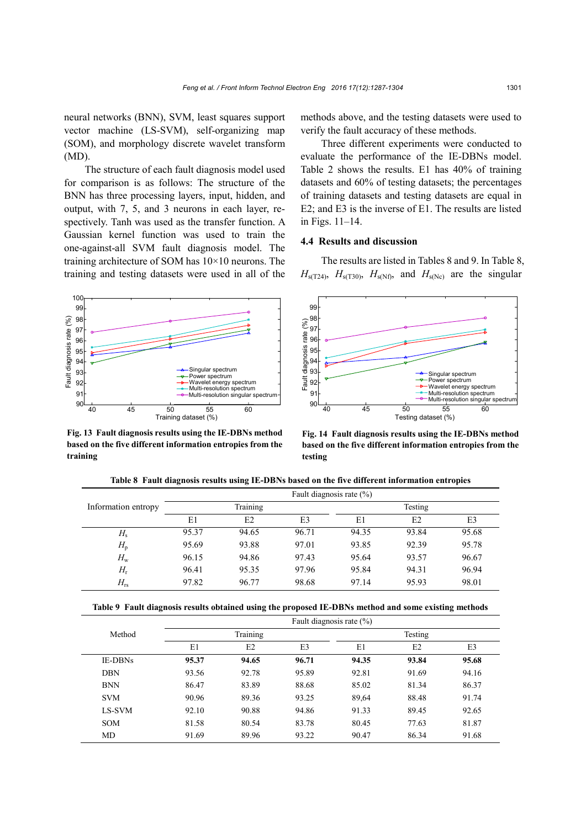neural networks (BNN), SVM, least squares support vector machine (LS-SVM), self-organizing map (SOM), and morphology discrete wavelet transform (MD).

The structure of each fault diagnosis model used for comparison is as follows: The structure of the BNN has three processing layers, input, hidden, and output, with 7, 5, and 3 neurons in each layer, respectively. Tanh was used as the transfer function. A Gaussian kernel function was used to train the one-against-all SVM fault diagnosis model. The training architecture of SOM has 10×10 neurons. The training and testing datasets were used in all of the



**Fig. 13 Fault diagnosis results using the IE-DBNs method based on the five different information entropies from the training**

methods above, and the testing datasets were used to verify the fault accuracy of these methods.

Three different experiments were conducted to evaluate the performance of the IE-DBNs model. Table 2 shows the results. E1 has 40% of training datasets and 60% of testing datasets; the percentages of training datasets and testing datasets are equal in E2; and E3 is the inverse of E1. The results are listed in Figs. 11–14.

## **4.4 Results and discussion**

The results are listed in Tables 8 and 9. In Table 8,  $H_{\text{s(T24)}}, H_{\text{s(T30)}}, H_{\text{s(Nf)}}, \text{ and } H_{\text{s(Nc)}} \text{ are the singular}$ 



**Fig. 14 Fault diagnosis results using the IE-DBNs method based on the five different information entropies from the testing**

| Table 8 Fault diagnosis results using IE-DBNs based on the five different information entropies |  |
|-------------------------------------------------------------------------------------------------|--|
|-------------------------------------------------------------------------------------------------|--|

|                     | Fault diagnosis rate $(\%)$ |                |       |       |         |       |  |  |  |
|---------------------|-----------------------------|----------------|-------|-------|---------|-------|--|--|--|
| Information entropy |                             | Training       |       |       | Testing |       |  |  |  |
|                     | E1                          | E <sub>2</sub> | E3    | E1    | E2      | E3    |  |  |  |
| $H_{\rm s}$         | 95.37                       | 94.65          | 96.71 | 94.35 | 93.84   | 95.68 |  |  |  |
| $H_{\rm p}$         | 95.69                       | 93.88          | 97.01 | 93.85 | 92.39   | 95.78 |  |  |  |
| $H_{\rm w}$         | 96.15                       | 94.86          | 97.43 | 95.64 | 93.57   | 96.67 |  |  |  |
| $H_{\rm r}$         | 96.41                       | 95.35          | 97.96 | 95.84 | 94.31   | 96.94 |  |  |  |
| $H_{\rm rs}$        | 97.82                       | 96.77          | 98.68 | 97.14 | 95.93   | 98.01 |  |  |  |

**Table 9 Fault diagnosis results obtained using the proposed IE-DBNs method and some existing methods**

|                | Fault diagnosis rate $(\% )$ |                |       |       |                |       |  |  |  |
|----------------|------------------------------|----------------|-------|-------|----------------|-------|--|--|--|
| Method         |                              | Training       |       |       | Testing        |       |  |  |  |
|                | E1                           | E <sub>2</sub> | E3    | E1    | E <sub>2</sub> | E3    |  |  |  |
| <b>IE-DBNs</b> | 95.37                        | 94.65          | 96.71 | 94.35 | 93.84          | 95.68 |  |  |  |
| <b>DBN</b>     | 93.56                        | 92.78          | 95.89 | 92.81 | 91.69          | 94.16 |  |  |  |
| <b>BNN</b>     | 86.47                        | 83.89          | 88.68 | 85.02 | 81.34          | 86.37 |  |  |  |
| <b>SVM</b>     | 90.96                        | 89.36          | 93.25 | 89,64 | 88.48          | 91.74 |  |  |  |
| LS-SVM         | 92.10                        | 90.88          | 94.86 | 91.33 | 89.45          | 92.65 |  |  |  |
| <b>SOM</b>     | 81.58                        | 80.54          | 83.78 | 80.45 | 77.63          | 81.87 |  |  |  |
| MD             | 91.69                        | 89.96          | 93.22 | 90.47 | 86.34          | 91.68 |  |  |  |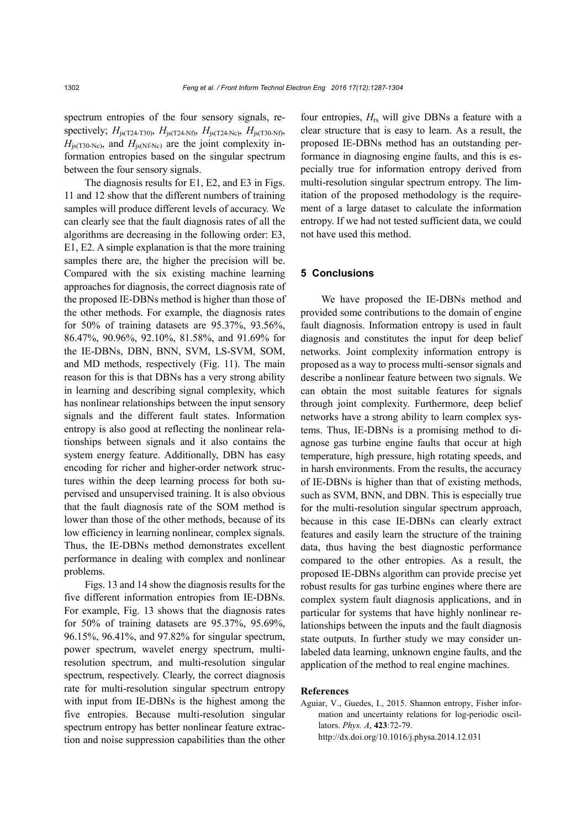spectrum entropies of the four sensory signals, respectively;  $H_{\text{js}(T24-T30)}$ ,  $H_{\text{js}(T24-Nf)}$ ,  $H_{\text{js}(T24-Nc)}$ ,  $H_{\text{js}(T30-Nf)}$ ,  $H_{\text{is(T30-Ne)}}$ , and  $H_{\text{is(Nf-Ne)}}$  are the joint complexity information entropies based on the singular spectrum between the four sensory signals.

The diagnosis results for E1, E2, and E3 in Figs. 11 and 12 show that the different numbers of training samples will produce different levels of accuracy. We can clearly see that the fault diagnosis rates of all the algorithms are decreasing in the following order: E3, E1, E2. A simple explanation is that the more training samples there are, the higher the precision will be. Compared with the six existing machine learning approaches for diagnosis, the correct diagnosis rate of the proposed IE-DBNs method is higher than those of the other methods. For example, the diagnosis rates for 50% of training datasets are 95.37%, 93.56%, 86.47%, 90.96%, 92.10%, 81.58%, and 91.69% for the IE-DBNs, DBN, BNN, SVM, LS-SVM, SOM, and MD methods, respectively (Fig. 11). The main reason for this is that DBNs has a very strong ability in learning and describing signal complexity, which has nonlinear relationships between the input sensory signals and the different fault states. Information entropy is also good at reflecting the nonlinear relationships between signals and it also contains the system energy feature. Additionally, DBN has easy encoding for richer and higher-order network structures within the deep learning process for both supervised and unsupervised training. It is also obvious that the fault diagnosis rate of the SOM method is lower than those of the other methods, because of its low efficiency in learning nonlinear, complex signals. Thus, the IE-DBNs method demonstrates excellent performance in dealing with complex and nonlinear problems.

Figs. 13 and 14 show the diagnosis results for the five different information entropies from IE-DBNs. For example, Fig. 13 shows that the diagnosis rates for 50% of training datasets are 95.37%, 95.69%, 96.15%, 96.41%, and 97.82% for singular spectrum, power spectrum, wavelet energy spectrum, multiresolution spectrum, and multi-resolution singular spectrum, respectively. Clearly, the correct diagnosis rate for multi-resolution singular spectrum entropy with input from IE-DBNs is the highest among the five entropies. Because multi-resolution singular spectrum entropy has better nonlinear feature extraction and noise suppression capabilities than the other four entropies, *H*rs will give DBNs a feature with a clear structure that is easy to learn. As a result, the proposed IE-DBNs method has an outstanding performance in diagnosing engine faults, and this is especially true for information entropy derived from multi-resolution singular spectrum entropy. The limitation of the proposed methodology is the requirement of a large dataset to calculate the information entropy. If we had not tested sufficient data, we could not have used this method.

## **5 Conclusions**

We have proposed the IE-DBNs method and provided some contributions to the domain of engine fault diagnosis. Information entropy is used in fault diagnosis and constitutes the input for deep belief networks. Joint complexity information entropy is proposed as a way to process multi-sensor signals and describe a nonlinear feature between two signals. We can obtain the most suitable features for signals through joint complexity. Furthermore, deep belief networks have a strong ability to learn complex systems. Thus, IE-DBNs is a promising method to diagnose gas turbine engine faults that occur at high temperature, high pressure, high rotating speeds, and in harsh environments. From the results, the accuracy of IE-DBNs is higher than that of existing methods, such as SVM, BNN, and DBN. This is especially true for the multi-resolution singular spectrum approach, because in this case IE-DBNs can clearly extract features and easily learn the structure of the training data, thus having the best diagnostic performance compared to the other entropies. As a result, the proposed IE-DBNs algorithm can provide precise yet robust results for gas turbine engines where there are complex system fault diagnosis applications, and in particular for systems that have highly nonlinear relationships between the inputs and the fault diagnosis state outputs. In further study we may consider unlabeled data learning, unknown engine faults, and the application of the method to real engine machines.

## **References**

Aguiar, V., Guedes, I., 2015. Shannon entropy, Fisher information and uncertainty relations for log-periodic oscillators. *Phys. A*, **423**:72-79. http://dx.doi.org/10.1016/j.physa.2014.12.031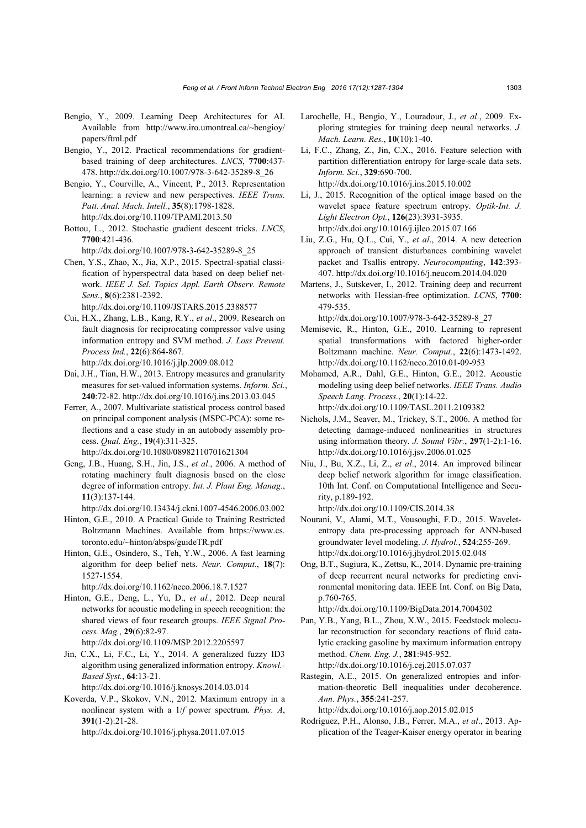- Bengio, Y., 2009. Learning Deep Architectures for AI. Available from http://www.iro.umontreal.ca/~bengioy/ papers/ftml.pdf
- Bengio, Y., 2012. Practical recommendations for gradientbased training of deep architectures. *LNCS*, **7700**:437- 478. http://dx.doi.org/10.1007/978-3-642-35289-8\_26
- Bengio, Y., Courville, A., Vincent, P., 2013. Representation learning: a review and new perspectives. *IEEE Trans. Patt. Anal. Mach. Intell.*, **35**(8):1798-1828. http://dx.doi.org/10.1109/TPAMI.2013.50
- Bottou, L., 2012. Stochastic gradient descent tricks. *LNCS*, **7700**:421-436.

http://dx.doi.org/10.1007/978-3-642-35289-8\_25

Chen, Y.S., Zhao, X., Jia, X.P., 2015. Spectral-spatial classification of hyperspectral data based on deep belief network. *IEEE J. Sel. Topics Appl. Earth Observ. Remote Sens.*, **8**(6):2381-2392.

http://dx.doi.org/10.1109/JSTARS.2015.2388577

- Cui, H.X., Zhang, L.B., Kang, R.Y., *et al*., 2009. Research on fault diagnosis for reciprocating compressor valve using information entropy and SVM method. *J. Loss Prevent. Process Ind.*, **22**(6):864-867.
- http://dx.doi.org/10.1016/j.jlp.2009.08.012
- Dai, J.H., Tian, H.W., 2013. Entropy measures and granularity measures for set-valued information systems. *Inform. Sci.*, **240**:72-82. http://dx.doi.org/10.1016/j.ins.2013.03.045
- Ferrer, A., 2007. Multivariate statistical process control based on principal component analysis (MSPC-PCA): some reflections and a case study in an autobody assembly process. *Qual. Eng.*, **19**(4):311-325.

http://dx.doi.org/10.1080/08982110701621304

Geng, J.B., Huang, S.H., Jin, J.S., *et al*., 2006. A method of rotating machinery fault diagnosis based on the close degree of information entropy. *Int. J. Plant Eng. Manag.*, **11**(3):137-144.

http://dx.doi.org/10.13434/j.ckni.1007-4546.2006.03.002

- Hinton, G.E., 2010. A Practical Guide to Training Restricted Boltzmann Machines. Available from https://www.cs. toronto.edu/~hinton/absps/guideTR.pdf
- Hinton, G.E., Osindero, S., Teh, Y.W., 2006. A fast learning algorithm for deep belief nets. *Neur. Comput.*, **18**(7): 1527-1554.

http://dx.doi.org/10.1162/neco.2006.18.7.1527

- Hinton, G.E., Deng, L., Yu, D., *et al.*, 2012. Deep neural networks for acoustic modeling in speech recognition: the shared views of four research groups. *IEEE Signal Process. Mag.*, **29**(6):82-97. http://dx.doi.org/10.1109/MSP.2012.2205597
- Jin, C.X., Li, F.C., Li, Y., 2014. A generalized fuzzy ID3 algorithm using generalized information entropy. *Knowl.- Based Syst.*, **64**:13-21.

http://dx.doi.org/10.1016/j.knosys.2014.03.014

Koverda, V.P., Skokov, V.N., 2012. Maximum entropy in a nonlinear system with a 1/*f* power spectrum. *Phys. A*, **391**(1-2):21-28.

http://dx.doi.org/10.1016/j.physa.2011.07.015

- Larochelle, H., Bengio, Y., Louradour, J., *et al*., 2009. Exploring strategies for training deep neural networks. *J. Mach. Learn. Res.*, **10**(10):1-40.
- Li, F.C., Zhang, Z., Jin, C.X., 2016. Feature selection with partition differentiation entropy for large-scale data sets. *Inform. Sci.*, **329**:690-700. http://dx.doi.org/10.1016/j.ins.2015.10.002
- Li, J., 2015. Recognition of the optical image based on the wavelet space feature spectrum entropy. *Optik-Int. J. Light Electron Opt.*, **126**(23):3931-3935. http://dx.doi.org/10.1016/j.ijleo.2015.07.166
- Liu, Z.G., Hu, Q.L., Cui, Y., *et al*., 2014. A new detection approach of transient disturbances combining wavelet packet and Tsallis entropy. *Neurocomputing*, **142**:393- 407. http://dx.doi.org/10.1016/j.neucom.2014.04.020
- Martens, J., Sutskever, I., 2012. Training deep and recurrent networks with Hessian-free optimization. *LCNS*, **7700**: 479-535.

http://dx.doi.org/10.1007/978-3-642-35289-8\_27

- Memisevic, R., Hinton, G.E., 2010. Learning to represent spatial transformations with factored higher-order Boltzmann machine. *Neur. Comput.*, **22**(6):1473-1492. http://dx.doi.org/10.1162/neco.2010.01-09-953
- Mohamed, A.R., Dahl, G.E., Hinton, G.E., 2012. Acoustic modeling using deep belief networks. *IEEE Trans. Audio Speech Lang. Process.*, **20**(1):14-22. http://dx.doi.org/10.1109/TASL.2011.2109382
- Nichols, J.M., Seaver, M., Trickey, S.T., 2006. A method for detecting damage-induced nonlinearities in structures using information theory. *J. Sound Vibr.*, **297**(1-2):1-16. http://dx.doi.org/10.1016/j.jsv.2006.01.025
- Niu, J., Bu, X.Z., Li, Z., *et al*., 2014. An improved bilinear deep belief network algorithm for image classification. 10th Int. Conf. on Computational Intelligence and Security, p.189-192.

http://dx.doi.org/10.1109/CIS.2014.38

- Nourani, V., Alami, M.T., Vousoughi, F.D., 2015. Waveletentropy data pre-processing approach for ANN-based groundwater level modeling. *J. Hydrol.*, **524**:255-269. http://dx.doi.org/10.1016/j.jhydrol.2015.02.048
- Ong, B.T., Sugiura, K., Zettsu, K., 2014. Dynamic pre-training of deep recurrent neural networks for predicting environmental monitoring data. IEEE Int. Conf. on Big Data, p.760-765.

http://dx.doi.org/10.1109/BigData.2014.7004302

- Pan, Y.B., Yang, B.L., Zhou, X.W., 2015. Feedstock molecular reconstruction for secondary reactions of fluid catalytic cracking gasoline by maximum information entropy method. *Chem. Eng. J.*, **281**:945-952. http://dx.doi.org/10.1016/j.cej.2015.07.037
- Rastegin, A.E., 2015. On generalized entropies and information-theoretic Bell inequalities under decoherence. *Ann. Phys.*, **355**:241-257.

http://dx.doi.org/10.1016/j.aop.2015.02.015

Rodríguez, P.H., Alonso, J.B., Ferrer, M.A., *et al*., 2013. Application of the Teager-Kaiser energy operator in bearing